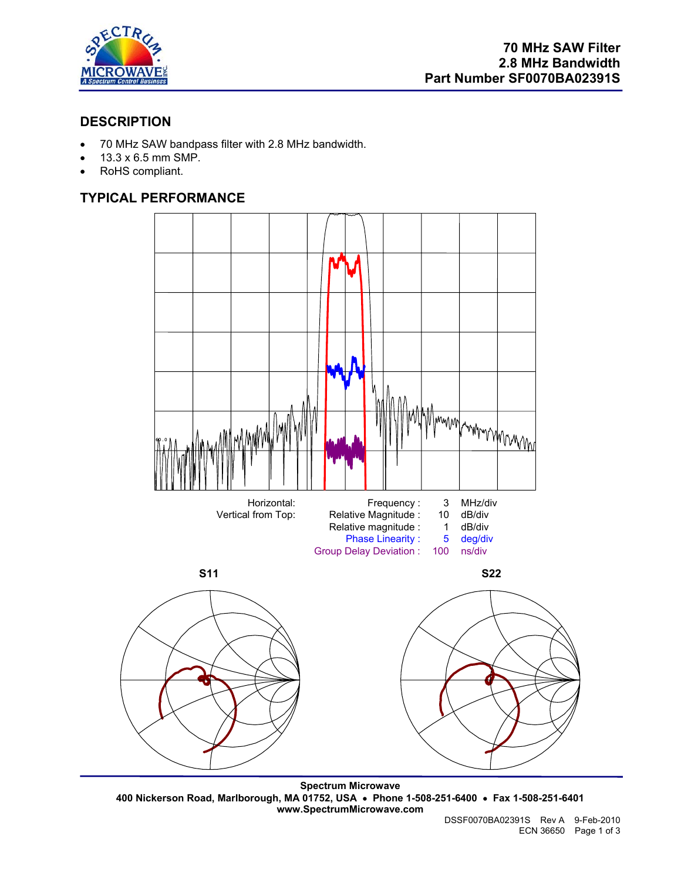

## **DESCRIPTION**

- 70 MHz SAW bandpass filter with 2.8 MHz bandwidth.
- 13.3 x 6.5 mm SMP.
- RoHS compliant.

# **TYPICAL PERFORMANCE**



**Spectrum Microwave 400 Nickerson Road, Marlborough, MA 01752, USA** • **Phone 1-508-251-6400** • **Fax 1-508-251-6401 www.SpectrumMicrowave.com**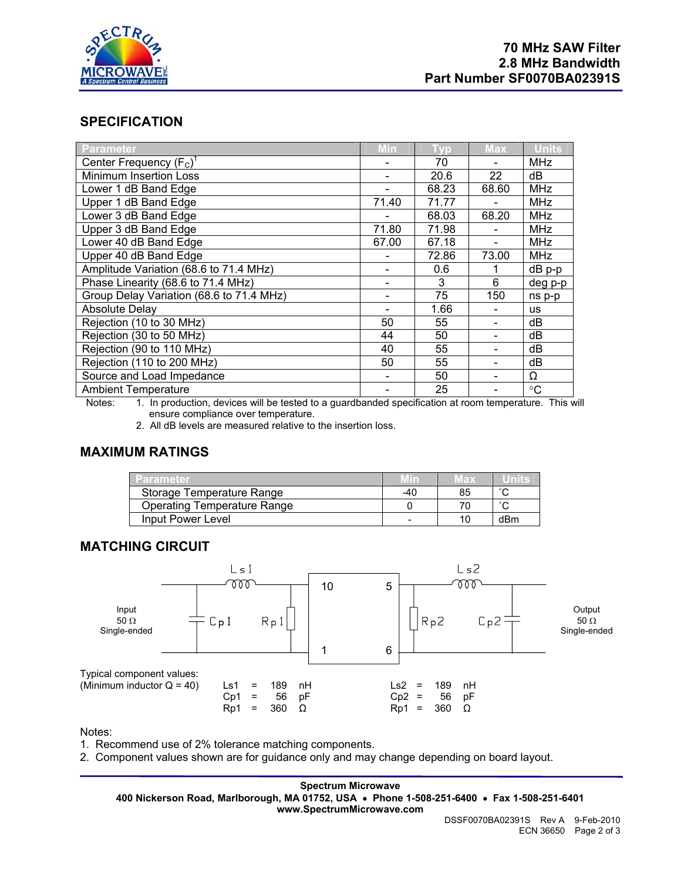

## **SPECIFICATION**

| Parameter                                | Min   | <b>Typ</b> | <b>Max</b> | <b>Units</b>    |
|------------------------------------------|-------|------------|------------|-----------------|
| Center Frequency $(F_C)^T$               |       | 70         |            | <b>MHz</b>      |
| <b>Minimum Insertion Loss</b>            |       | 20.6       | 22         | dВ              |
| Lower 1 dB Band Edge                     |       | 68.23      | 68.60      | <b>MHz</b>      |
| Upper 1 dB Band Edge                     | 71.40 | 71.77      |            | <b>MHz</b>      |
| Lower 3 dB Band Edge                     |       | 68.03      | 68.20      | <b>MHz</b>      |
| Upper 3 dB Band Edge                     | 71.80 | 71.98      |            | <b>MHz</b>      |
| Lower 40 dB Band Edge                    | 67.00 | 67.18      |            | <b>MHz</b>      |
| Upper 40 dB Band Edge                    |       | 72.86      | 73.00      | <b>MHz</b>      |
| Amplitude Variation (68.6 to 71.4 MHz)   |       | 0.6        |            | dB p-p          |
| Phase Linearity (68.6 to 71.4 MHz)       |       | 3          | 6          | deg p-p         |
| Group Delay Variation (68.6 to 71.4 MHz) |       | 75         | 150        | ns p-p          |
| Absolute Delay                           |       | 1.66       |            | <b>us</b>       |
| Rejection (10 to 30 MHz)                 | 50    | 55         |            | dB              |
| Rejection (30 to 50 MHz)                 | 44    | 50         |            | dB              |
| Rejection (90 to 110 MHz)                | 40    | 55         |            | dB              |
| Rejection (110 to 200 MHz)               | 50    | 55         |            | dB              |
| Source and Load Impedance                |       | 50         |            | Ω               |
| <b>Ambient Temperature</b>               |       | 25         |            | $\rm ^{\circ}C$ |

Notes: 1. In production, devices will be tested to a guardbanded specification at room temperature. This will ensure compliance over temperature.

2. All dB levels are measured relative to the insertion loss.

## **MAXIMUM RATINGS**

| Parameter                          |     | Max |     |
|------------------------------------|-----|-----|-----|
| Storage Temperature Range          | -40 | 85  |     |
| <b>Operating Temperature Range</b> |     |     |     |
| Input Power Level                  |     |     | dBm |

### **MATCHING CIRCUIT**



Notes:

1. Recommend use of 2% tolerance matching components.

2. Component values shown are for guidance only and may change depending on board layout.

**Spectrum Microwave 400 Nickerson Road, Marlborough, MA 01752, USA** • **Phone 1-508-251-6400** • **Fax 1-508-251-6401 www.SpectrumMicrowave.com**